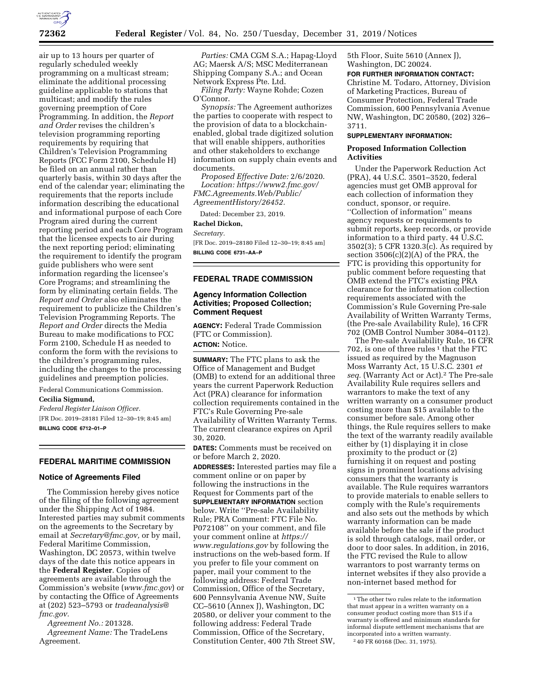

air up to 13 hours per quarter of regularly scheduled weekly programming on a multicast stream; eliminate the additional processing guideline applicable to stations that multicast; and modify the rules governing preemption of Core Programming. In addition, the *Report and Order* revises the children's television programming reporting requirements by requiring that Children's Television Programming Reports (FCC Form 2100, Schedule H) be filed on an annual rather than quarterly basis, within 30 days after the end of the calendar year; eliminating the requirements that the reports include information describing the educational and informational purpose of each Core Program aired during the current reporting period and each Core Program that the licensee expects to air during the next reporting period; eliminating the requirement to identify the program guide publishers who were sent information regarding the licensee's Core Programs; and streamlining the form by eliminating certain fields. The *Report and Order* also eliminates the requirement to publicize the Children's Television Programming Reports. The *Report and Order* directs the Media Bureau to make modifications to FCC Form 2100, Schedule H as needed to conform the form with the revisions to the children's programming rules, including the changes to the processing guidelines and preemption policies.

Federal Communications Commission.

**Cecilia Sigmund,** 

*Federal Register Liaison Officer.*  [FR Doc. 2019–28181 Filed 12–30–19; 8:45 am] **BILLING CODE 6712–01–P** 

#### **FEDERAL MARITIME COMMISSION**

### **Notice of Agreements Filed**

The Commission hereby gives notice of the filing of the following agreement under the Shipping Act of 1984. Interested parties may submit comments on the agreements to the Secretary by email at *[Secretary@fmc.gov,](mailto:Secretary@fmc.gov)* or by mail, Federal Maritime Commission, Washington, DC 20573, within twelve days of the date this notice appears in the **Federal Register**. Copies of agreements are available through the Commission's website (*[www.fmc.gov](http://www.fmc.gov)*) or by contacting the Office of Agreements at (202) 523–5793 or *[tradeanalysis@](mailto:tradeanalysis@fmc.gov) [fmc.gov.](mailto:tradeanalysis@fmc.gov)* 

*Agreement No.:* 201328. *Agreement Name:* The TradeLens Agreement.

*Parties:* CMA CGM S.A.; Hapag-Lloyd AG; Maersk A/S; MSC Mediterranean Shipping Company S.A.; and Ocean Network Express Pte. Ltd.

*Filing Party:* Wayne Rohde; Cozen O'Connor.

*Synopsis:* The Agreement authorizes the parties to cooperate with respect to the provision of data to a blockchainenabled, global trade digitized solution that will enable shippers, authorities and other stakeholders to exchange information on supply chain events and documents.

*Proposed Effective Date:* 2/6/2020. *Location: [https://www2.fmc.gov/](https://www2.fmc.gov/FMC.Agreements.Web/Public/AgreementHistory/26452) [FMC.Agreements.Web/Public/](https://www2.fmc.gov/FMC.Agreements.Web/Public/AgreementHistory/26452) [AgreementHistory/26452.](https://www2.fmc.gov/FMC.Agreements.Web/Public/AgreementHistory/26452)* 

Dated: December 23, 2019.

#### **Rachel Dickon,**

*Secretary.* 

[FR Doc. 2019–28180 Filed 12–30–19; 8:45 am] **BILLING CODE 6731–AA–P** 

### **FEDERAL TRADE COMMISSION**

# **Agency Information Collection Activities; Proposed Collection; Comment Request**

**AGENCY:** Federal Trade Commission (FTC or Commission). **ACTION:** Notice.

**SUMMARY:** The FTC plans to ask the Office of Management and Budget (OMB) to extend for an additional three years the current Paperwork Reduction Act (PRA) clearance for information collection requirements contained in the FTC's Rule Governing Pre-sale Availability of Written Warranty Terms. The current clearance expires on April 30, 2020.

**DATES:** Comments must be received on or before March 2, 2020.

**ADDRESSES:** Interested parties may file a comment online or on paper by following the instructions in the Request for Comments part of the **SUPPLEMENTARY INFORMATION** section below. Write ''Pre-sale Availability Rule; PRA Comment: FTC File No. P072108'' on your comment, and file your comment online at *[https://](https://www.regulations.gov) [www.regulations.gov](https://www.regulations.gov)* by following the instructions on the web-based form. If you prefer to file your comment on paper, mail your comment to the following address: Federal Trade Commission, Office of the Secretary, 600 Pennsylvania Avenue NW, Suite CC–5610 (Annex J), Washington, DC 20580, or deliver your comment to the following address: Federal Trade Commission, Office of the Secretary, Constitution Center, 400 7th Street SW,

5th Floor, Suite 5610 (Annex J), Washington, DC 20024.

#### **FOR FURTHER INFORMATION CONTACT:**

Christine M. Todaro, Attorney, Division of Marketing Practices, Bureau of Consumer Protection, Federal Trade Commission, 600 Pennsylvania Avenue NW, Washington, DC 20580, (202) 326– 3711.

### **SUPPLEMENTARY INFORMATION:**

#### **Proposed Information Collection Activities**

Under the Paperwork Reduction Act (PRA), 44 U.S.C. 3501–3520, federal agencies must get OMB approval for each collection of information they conduct, sponsor, or require. ''Collection of information'' means agency requests or requirements to submit reports, keep records, or provide information to a third party. 44 U.S.C. 3502(3); 5 CFR 1320.3(c). As required by section  $3506(c)(2)(A)$  of the PRA, the FTC is providing this opportunity for public comment before requesting that OMB extend the FTC's existing PRA clearance for the information collection requirements associated with the Commission's Rule Governing Pre-sale Availability of Written Warranty Terms, (the Pre-sale Availability Rule), 16 CFR 702 (OMB Control Number 3084–0112).

The Pre-sale Availability Rule, 16 CFR 702, is one of three rules<sup>1</sup> that the FTC issued as required by the Magnuson Moss Warranty Act, 15 U.S.C. 2301 *et seq.* (Warranty Act or Act).2 The Pre-sale Availability Rule requires sellers and warrantors to make the text of any written warranty on a consumer product costing more than \$15 available to the consumer before sale. Among other things, the Rule requires sellers to make the text of the warranty readily available either by (1) displaying it in close proximity to the product or (2) furnishing it on request and posting signs in prominent locations advising consumers that the warranty is available. The Rule requires warrantors to provide materials to enable sellers to comply with the Rule's requirements and also sets out the methods by which warranty information can be made available before the sale if the product is sold through catalogs, mail order, or door to door sales. In addition, in 2016, the FTC revised the Rule to allow warrantors to post warranty terms on internet websites if they also provide a non-internet based method for

 $^{\rm 1}\!$  The other two rules relate to the information that must appear in a written warranty on a consumer product costing more than \$15 if a warranty is offered and minimum standards for informal dispute settlement mechanisms that are incorporated into a written warranty. 2 40 FR 60168 (Dec. 31, 1975).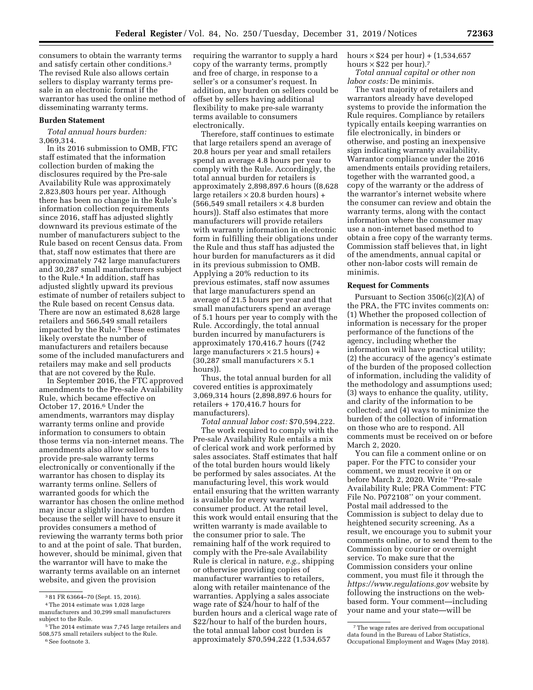consumers to obtain the warranty terms and satisfy certain other conditions.3 The revised Rule also allows certain sellers to display warranty terms presale in an electronic format if the warrantor has used the online method of disseminating warranty terms.

### **Burden Statement**

*Total annual hours burden:*  3,069,314.

In its 2016 submission to OMB, FTC staff estimated that the information collection burden of making the disclosures required by the Pre-sale Availability Rule was approximately 2,823,803 hours per year. Although there has been no change in the Rule's information collection requirements since 2016, staff has adjusted slightly downward its previous estimate of the number of manufacturers subject to the Rule based on recent Census data. From that, staff now estimates that there are approximately 742 large manufacturers and 30,287 small manufacturers subject to the Rule.4 In addition, staff has adjusted slightly upward its previous estimate of number of retailers subject to the Rule based on recent Census data. There are now an estimated 8,628 large retailers and 566,549 small retailers impacted by the Rule.<sup>5</sup> These estimates likely overstate the number of manufacturers and retailers because some of the included manufacturers and retailers may make and sell products that are not covered by the Rule.

In September 2016, the FTC approved amendments to the Pre-sale Availability Rule, which became effective on October 17, 2016.6 Under the amendments, warrantors may display warranty terms online and provide information to consumers to obtain those terms via non-internet means. The amendments also allow sellers to provide pre-sale warranty terms electronically or conventionally if the warrantor has chosen to display its warranty terms online. Sellers of warranted goods for which the warrantor has chosen the online method may incur a slightly increased burden because the seller will have to ensure it provides consumers a method of reviewing the warranty terms both prior to and at the point of sale. That burden, however, should be minimal, given that the warrantor will have to make the warranty terms available on an internet website, and given the provision

requiring the warrantor to supply a hard copy of the warranty terms, promptly and free of charge, in response to a seller's or a consumer's request. In addition, any burden on sellers could be offset by sellers having additional flexibility to make pre-sale warranty terms available to consumers electronically.

Therefore, staff continues to estimate that large retailers spend an average of 20.8 hours per year and small retailers spend an average 4.8 hours per year to comply with the Rule. Accordingly, the total annual burden for retailers is approximately 2,898,897.6 hours ((8,628 large retailers  $\times$  20.8 burden hours) +  $(566,549 \text{ small relations} \times 4.8 \text{ burden})$ hours)). Staff also estimates that more manufacturers will provide retailers with warranty information in electronic form in fulfilling their obligations under the Rule and thus staff has adjusted the hour burden for manufacturers as it did in its previous submission to OMB. Applying a 20% reduction to its previous estimates, staff now assumes that large manufacturers spend an average of 21.5 hours per year and that small manufacturers spend an average of 5.1 hours per year to comply with the Rule. Accordingly, the total annual burden incurred by manufacturers is approximately 170,416.7 hours ((742 large manufacturers  $\times$  21.5 hours) + (30,287 small manufacturers  $\times$  5.1 hours)).

Thus, the total annual burden for all covered entities is approximately 3,069,314 hours (2,898,897.6 hours for retailers + 170,416.7 hours for manufacturers).

*Total annual labor cost:* \$70,594,222. The work required to comply with the Pre-sale Availability Rule entails a mix of clerical work and work performed by sales associates. Staff estimates that half of the total burden hours would likely be performed by sales associates. At the manufacturing level, this work would entail ensuring that the written warranty is available for every warranted consumer product. At the retail level, this work would entail ensuring that the written warranty is made available to the consumer prior to sale. The remaining half of the work required to comply with the Pre-sale Availability Rule is clerical in nature, *e.g.,* shipping or otherwise providing copies of manufacturer warranties to retailers, along with retailer maintenance of the warranties. Applying a sales associate wage rate of \$24/hour to half of the burden hours and a clerical wage rate of \$22/hour to half of the burden hours, the total annual labor cost burden is approximately \$70,594,222 (1,534,657

hours  $\times$  \$24 per hour) + (1,534,657 hours  $\times$  \$22 per hour).<sup>7</sup>

*Total annual capital or other non labor costs:* De minimis.

The vast majority of retailers and warrantors already have developed systems to provide the information the Rule requires. Compliance by retailers typically entails keeping warranties on file electronically, in binders or otherwise, and posting an inexpensive sign indicating warranty availability. Warrantor compliance under the 2016 amendments entails providing retailers, together with the warranted good, a copy of the warranty or the address of the warrantor's internet website where the consumer can review and obtain the warranty terms, along with the contact information where the consumer may use a non-internet based method to obtain a free copy of the warranty terms. Commission staff believes that, in light of the amendments, annual capital or other non-labor costs will remain de minimis.

### **Request for Comments**

Pursuant to Section 3506(c)(2)(A) of the PRA, the FTC invites comments on: (1) Whether the proposed collection of information is necessary for the proper performance of the functions of the agency, including whether the information will have practical utility; (2) the accuracy of the agency's estimate of the burden of the proposed collection of information, including the validity of the methodology and assumptions used; (3) ways to enhance the quality, utility, and clarity of the information to be collected; and (4) ways to minimize the burden of the collection of information on those who are to respond. All comments must be received on or before March 2, 2020.

You can file a comment online or on paper. For the FTC to consider your comment, we must receive it on or before March 2, 2020. Write ''Pre-sale Availability Rule; PRA Comment: FTC File No. P072108'' on your comment. Postal mail addressed to the Commission is subject to delay due to heightened security screening. As a result, we encourage you to submit your comments online, or to send them to the Commission by courier or overnight service. To make sure that the Commission considers your online comment, you must file it through the *<https://www.regulations.gov>* website by following the instructions on the webbased form. Your comment—including your name and your state—will be

<sup>3</sup> 81 FR 63664–70 (Sept. 15, 2016).

<sup>4</sup>The 2014 estimate was 1,028 large manufacturers and 30,299 small manufacturers subject to the Rule.

<sup>5</sup>The 2014 estimate was 7,745 large retailers and 508,575 small retailers subject to the Rule. 6See footnote 3.

<sup>7</sup>The wage rates are derived from occupational data found in the Bureau of Labor Statistics, Occupational Employment and Wages (May 2018).